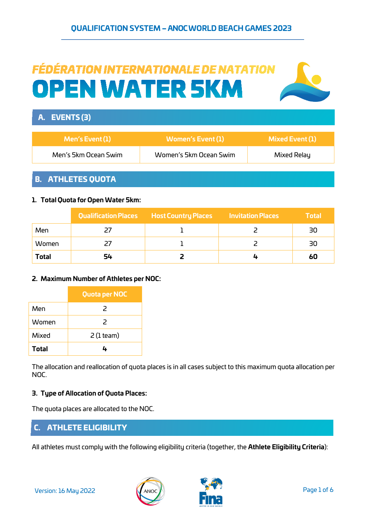# FÉDÉRATION INTERNATIONALE DE NATATION **OPEN WATER 5KM**



# B. ATHLETES QUOTA

#### **1. Total Quota for Open Water 5km:**

|              |    | Qualification Places Host Country Places | <b>Invitation Places</b> | <b>Total</b> |
|--------------|----|------------------------------------------|--------------------------|--------------|
| Men          |    |                                          |                          | 30           |
| Women        |    |                                          |                          | 30           |
| <b>Total</b> | 54 |                                          |                          | 60           |

#### **2. Maximum Number of Athletes per NOC:**

|       | <b>Quota per NOC</b> |
|-------|----------------------|
| Men   | $\mathcal{P}$        |
| Women | $\mathcal{P}$        |
| Mixed | $2$ (1 team)         |
| Total |                      |

The allocation and reallocation of quota places is in all cases subject to this maximum quota allocation per NOC.

#### **3. Type of Allocation of Quota Places:**

The quota places are allocated to the NOC.

## C. ATHLETE ELIGIBILITY

All athletes must comply with the following eligibility criteria (together, the **Athlete Eligibility Criteria**):



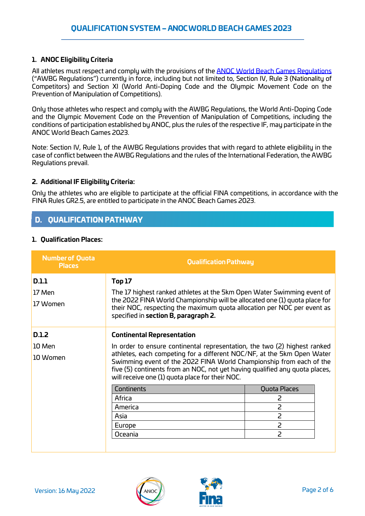#### **1. ANOC Eligibility Criteria**

All athletes must respect and comply with the provisions of the **ANOC World Beach Games Regulations** ("AWBG Regulations") currently in force, including but not limited to, Section IV, Rule 3 (Nationality of Competitors) and Section XI (World Anti-Doping Code and the Olympic Movement Code on the Prevention of Manipulation of Competitions).

Only those athletes who respect and comply with the AWBG Regulations, the World Anti-Doping Code and the Olympic Movement Code on the Prevention of Manipulation of Competitions, including the conditions of participation established by ANOC, plus the rules of the respective IF, may participate in the ANOC World Beach Games 2023.

Note: Section IV, Rule 1, of the AWBG Regulations provides that with regard to athlete eligibility in the case of conflict between the AWBG Regulations and the rules of the International Federation, the AWBG Regulations prevail.

#### **2. Additional IF Eligibility Criteria:**

Only the athletes who are eligible to participate at the official FINA competitions, in accordance with the FINA Rules GR2.5, are entitled to participate in the ANOC Beach Games 2023.

# D. QUALIFICATION PATHWAY

#### **1. Qualification Places:**

| <b>Number of Quota</b><br><b>Places</b>                                                                                                                                                                                                                                                     | <b>Qualification Pathway</b>                                                                                                                                                                  |                |
|---------------------------------------------------------------------------------------------------------------------------------------------------------------------------------------------------------------------------------------------------------------------------------------------|-----------------------------------------------------------------------------------------------------------------------------------------------------------------------------------------------|----------------|
| <b>D.1.1</b>                                                                                                                                                                                                                                                                                | <b>Top 17</b>                                                                                                                                                                                 |                |
| 17 Men                                                                                                                                                                                                                                                                                      | The 17 highest ranked athletes at the 5km Open Water Swimming event of                                                                                                                        |                |
| 17 Women                                                                                                                                                                                                                                                                                    | the 2022 FINA World Championship will be allocated one (1) quota place for<br>their NOC, respecting the maximum quota allocation per NOC per event as<br>specified in section B, paragraph 2. |                |
| <b>D.1.2</b>                                                                                                                                                                                                                                                                                | <b>Continental Representation</b>                                                                                                                                                             |                |
| 10 Men                                                                                                                                                                                                                                                                                      | In order to ensure continental representation, the two (2) highest ranked                                                                                                                     |                |
| athletes, each competing for a different NOC/NF, at the 5km Open Water<br>10 Women<br>Swimming event of the 2022 FINA World Championship from each of the<br>five (5) continents from an NOC, not yet having qualified any quota places,<br>will receive one (1) quota place for their NOC. |                                                                                                                                                                                               |                |
|                                                                                                                                                                                                                                                                                             | Continents                                                                                                                                                                                    | Quota Places   |
|                                                                                                                                                                                                                                                                                             | Africa                                                                                                                                                                                        | 2              |
|                                                                                                                                                                                                                                                                                             | America                                                                                                                                                                                       | 2              |
|                                                                                                                                                                                                                                                                                             | Asia                                                                                                                                                                                          | 2              |
|                                                                                                                                                                                                                                                                                             | Europe                                                                                                                                                                                        | $\overline{2}$ |
|                                                                                                                                                                                                                                                                                             | Oceania                                                                                                                                                                                       | 2              |
|                                                                                                                                                                                                                                                                                             |                                                                                                                                                                                               |                |



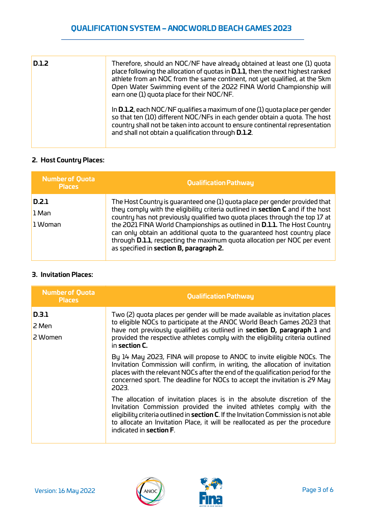| <b>D.1.2</b> | Therefore, should an NOC/NF have already obtained at least one (1) quota<br>place following the allocation of guotas in <b>D.1.1</b> , then the next highest ranked<br>athlete from an NOC from the same continent, not yet qualified, at the 5km<br>Open Water Swimming event of the 2022 FINA World Championship will<br>earn one (1) quota place for their NOC/NF. |
|--------------|-----------------------------------------------------------------------------------------------------------------------------------------------------------------------------------------------------------------------------------------------------------------------------------------------------------------------------------------------------------------------|
|              | In <b>D.1.2</b> , each NOC/NF qualifies a maximum of one (1) quota place per gender<br>so that ten (10) different NOC/NFs in each gender obtain a quota. The host<br>country shall not be taken into account to ensure continental representation<br>and shall not obtain a qualification through <b>D.1.2</b> .                                                      |

#### **2. Host Country Places:**

| <b>Number of Quota</b><br><b>Places</b> | <b>Qualification Pathway</b>                                                                                                                                                                                                                                                                                                                                                                                                                                                                                                                 |
|-----------------------------------------|----------------------------------------------------------------------------------------------------------------------------------------------------------------------------------------------------------------------------------------------------------------------------------------------------------------------------------------------------------------------------------------------------------------------------------------------------------------------------------------------------------------------------------------------|
| D.2.1<br>1 Man<br>1 Woman               | The Host Country is guaranteed one (1) guota place per gender provided that<br>they comply with the eligibility criteria outlined in section C and if the host<br>country has not previously qualified two quota places through the top 17 at<br>the 2021 FINA World Championships as outlined in <b>D.1.1</b> . The Host Country<br>can only obtain an additional quota to the guaranteed host country place<br>through <b>D.1.1</b> , respecting the maximum quota allocation per NOC per event<br>as specified in section B, paragraph 2. |
|                                         |                                                                                                                                                                                                                                                                                                                                                                                                                                                                                                                                              |

### **3. Invitation Places:**

| <b>Number of Quota</b><br><b>Places</b> | <b>Qualification Pathway</b>                                                                                                                                                                                                                                                                                                                                       |
|-----------------------------------------|--------------------------------------------------------------------------------------------------------------------------------------------------------------------------------------------------------------------------------------------------------------------------------------------------------------------------------------------------------------------|
| D.3.1<br>2 Men<br>2 Women               | Two (2) quota places per gender will be made available as invitation places<br>to eligible NOCs to participate at the ANOC World Beach Games 2023 that<br>have not previously qualified as outlined in section D, paragraph 1 and<br>provided the respective athletes comply with the eligibility criteria outlined<br>in section C.                               |
|                                         | By 14 May 2023, FINA will propose to ANOC to invite eligible NOCs. The<br>Invitation Commission will confirm, in writing, the allocation of invitation<br>places with the relevant NOCs after the end of the qualification period for the<br>concerned sport. The deadline for NOCs to accept the invitation is 29 May<br>2023.                                    |
|                                         | The allocation of invitation places is in the absolute discretion of the<br>Invitation Commission provided the invited athletes comply with the<br>eligibility criteria outlined in <b>section C</b> . If the Invitation Commission is not able<br>to allocate an Invitation Place, it will be reallocated as per the procedure<br>indicated in <b>section F</b> . |



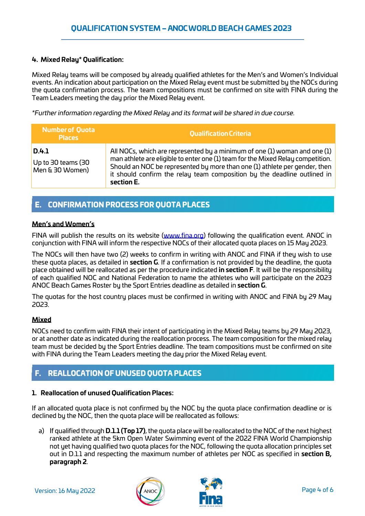#### **4. Mixed Relay\* Qualification:**

Mixed Relay teams will be composed by already qualified athletes for the Men's and Women's Individual events. An indication about participation on the Mixed Relay event must be submitted by the NOCs during the quota confirmation process. The team compositions must be confirmed on site with FINA during the Team Leaders meeting the day prior the Mixed Relay event.

*\*Further information regarding the Mixed Relay and its format will be shared in due course.*

| <b>Number of Quota</b><br><b>Places</b>        | <b>Qualification Criteria</b>                                                                                                                                                                                                                                                                                                        |
|------------------------------------------------|--------------------------------------------------------------------------------------------------------------------------------------------------------------------------------------------------------------------------------------------------------------------------------------------------------------------------------------|
| D.4.1<br>Up to 30 teams (30<br>Men & 30 Women) | All NOCs, which are represented by a minimum of one (1) woman and one (1)<br>man athlete are eligible to enter one (1) team for the Mixed Relay competition.<br>Should an NOC be represented by more than one (1) athlete per gender, then<br>it should confirm the relay team composition by the deadline outlined in<br>section E. |

# E. CONFIRMATION PROCESS FOR QUOTA PLACES

#### **Men's and Women's**

FINA will publish the results on its website [\(www.fina.org\)](http://www.fina.org/) following the qualification event. ANOC in conjunction with FINA will inform the respective NOCs of their allocated quota places on 15 May 2023.

The NOCs will then have two (2) weeks to confirm in writing with ANOC and FINA if they wish to use these quota places, as detailed in **section G**. If a confirmation is not provided by the deadline, the quota place obtained will be reallocated as per the procedure indicated **in section F**. It will be the responsibility of each qualified NOC and National Federation to name the athletes who will participate on the 2023 ANOC Beach Games Roster by the Sport Entries deadline as detailed in **section G**.

The quotas for the host country places must be confirmed in writing with ANOC and FINA by 29 May 2023.

#### **Mixed**

NOCs need to confirm with FINA their intent of participating in the Mixed Relay teams by 29 May 2023, or at another date as indicated during the reallocation process. The team composition for the mixed relay team must be decided by the Sport Entries deadline. The team compositions must be confirmed on site with FINA during the Team Leaders meeting the day prior the Mixed Relay event.

# F. REALLOCATION OF UNUSED QUOTA PLACES

#### **1. Reallocation of unused Qualification Places:**

If an allocated quota place is not confirmed by the NOC by the quota place confirmation deadline or is declined by the NOC, then the quota place will be reallocated as follows:

a) If qualified through **D.1.1 (Top 17)**, the quota place will be reallocated to the NOC of the next highest ranked athlete at the 5km Open Water Swimming event of the 2022 FINA World Championship not yet having qualified two quota places for the NOC, following the quota allocation principles set out in D.1.1 and respecting the maximum number of athletes per NOC as specified in **section B, paragraph 2**.



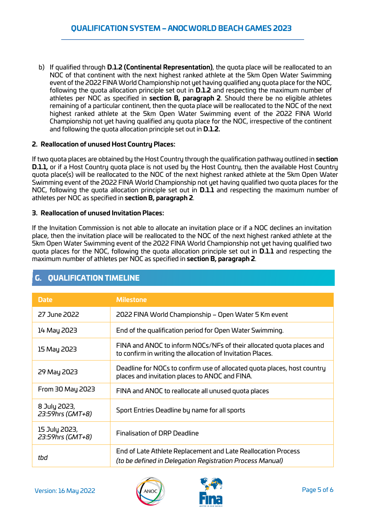b) If qualified through **D.1.2 (Continental Representation)**, the quota place will be reallocated to an NOC of that continent with the next highest ranked athlete at the 5km Open Water Swimming event of the 2022 FINA World Championship not yet having qualified any quota place for the NOC, following the quota allocation principle set out in **D.1.2** and respecting the maximum number of athletes per NOC as specified in **section B, paragraph 2**. Should there be no eligible athletes remaining of a particular continent, then the quota place will be reallocated to the NOC of the next highest ranked athlete at the 5km Open Water Swimming event of the 2022 FINA World Championship not yet having qualified any quota place for the NOC, irrespective of the continent and following the quota allocation principle set out in **D.1.2.**

#### **2. Reallocation of unused Host Country Places:**

If two quota places are obtained by the Host Country through the qualification pathway outlined in **section D.1.1,** or if a Host Country quota place is not used by the Host Country, then the available Host Country quota place(s) will be reallocated to the NOC of the next highest ranked athlete at the 5km Open Water Swimming event of the 2022 FINA World Championship not yet having qualified two quota places for the NOC, following the quota allocation principle set out in **D.1.1** and respecting the maximum number of athletes per NOC as specified in **section B, paragraph 2**.

#### **3. Reallocation of unused Invitation Places:**

If the Invitation Commission is not able to allocate an invitation place or if a NOC declines an invitation place, then the invitation place will be reallocated to the NOC of the next highest ranked athlete at the 5km Open Water Swimming event of the 2022 FINA World Championship not yet having qualified two quota places for the NOC, following the quota allocation principle set out in **D.1.1** and respecting the maximum number of athletes per NOC as specified in **section B, paragraph 2**.

| <b>Date</b>                       | <b>Milestone</b>                                                                                                                   |
|-----------------------------------|------------------------------------------------------------------------------------------------------------------------------------|
| 27 June 2022                      | 2022 FINA World Championship – Open Water 5 Km event                                                                               |
| 14 May 2023                       | End of the qualification period for Open Water Swimming.                                                                           |
| 15 May 2023                       | FINA and ANOC to inform NOCs/NFs of their allocated quota places and<br>to confirm in writing the allocation of Invitation Places. |
| 29 May 2023                       | Deadline for NOCs to confirm use of allocated quota places, host country<br>places and invitation places to ANOC and FINA.         |
| From 30 May 2023                  | FINA and ANOC to reallocate all unused quota places                                                                                |
| 8 July 2023,<br>23:59hrs (GMT+8)  | Sport Entries Deadline by name for all sports                                                                                      |
| 15 July 2023,<br>23:59hrs (GMT+8) | <b>Finalisation of DRP Deadline</b>                                                                                                |
| tbd                               | End of Late Athlete Replacement and Late Reallocation Process<br>(to be defined in Delegation Registration Process Manual)         |

# G. QUALIFICATION TIMELINE